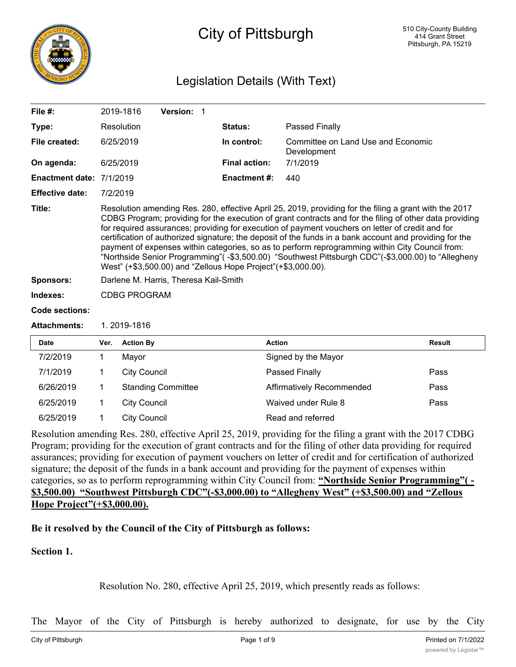

# City of Pittsburgh

### Legislation Details (With Text)

| File $#$ :               |                                                                                                                                                                                                                                                                                                                                                                                                                                                                                                                                                                                                                                                                                                            | 2019-1816           | Version: 1                |  |                      |                                                   |               |
|--------------------------|------------------------------------------------------------------------------------------------------------------------------------------------------------------------------------------------------------------------------------------------------------------------------------------------------------------------------------------------------------------------------------------------------------------------------------------------------------------------------------------------------------------------------------------------------------------------------------------------------------------------------------------------------------------------------------------------------------|---------------------|---------------------------|--|----------------------|---------------------------------------------------|---------------|
| Type:                    |                                                                                                                                                                                                                                                                                                                                                                                                                                                                                                                                                                                                                                                                                                            | Resolution          |                           |  | Status:              | Passed Finally                                    |               |
| File created:            |                                                                                                                                                                                                                                                                                                                                                                                                                                                                                                                                                                                                                                                                                                            | 6/25/2019           |                           |  | In control:          | Committee on Land Use and Economic<br>Development |               |
| On agenda:               |                                                                                                                                                                                                                                                                                                                                                                                                                                                                                                                                                                                                                                                                                                            | 6/25/2019           |                           |  | <b>Final action:</b> | 7/1/2019                                          |               |
| Enactment date: 7/1/2019 |                                                                                                                                                                                                                                                                                                                                                                                                                                                                                                                                                                                                                                                                                                            |                     |                           |  | <b>Enactment#:</b>   | 440                                               |               |
| <b>Effective date:</b>   | 7/2/2019                                                                                                                                                                                                                                                                                                                                                                                                                                                                                                                                                                                                                                                                                                   |                     |                           |  |                      |                                                   |               |
| Title:                   | Resolution amending Res. 280, effective April 25, 2019, providing for the filing a grant with the 2017<br>CDBG Program; providing for the execution of grant contracts and for the filing of other data providing<br>for required assurances; providing for execution of payment vouchers on letter of credit and for<br>certification of authorized signature; the deposit of the funds in a bank account and providing for the<br>payment of expenses within categories, so as to perform reprogramming within City Council from:<br>"Northside Senior Programming"( -\$3,500.00) "Southwest Pittsburgh CDC"(-\$3,000.00) to "Allegheny<br>West" (+\$3,500.00) and "Zellous Hope Project" (+\$3,000.00). |                     |                           |  |                      |                                                   |               |
| <b>Sponsors:</b>         | Darlene M. Harris, Theresa Kail-Smith                                                                                                                                                                                                                                                                                                                                                                                                                                                                                                                                                                                                                                                                      |                     |                           |  |                      |                                                   |               |
| Indexes:                 | <b>CDBG PROGRAM</b>                                                                                                                                                                                                                                                                                                                                                                                                                                                                                                                                                                                                                                                                                        |                     |                           |  |                      |                                                   |               |
| Code sections:           |                                                                                                                                                                                                                                                                                                                                                                                                                                                                                                                                                                                                                                                                                                            |                     |                           |  |                      |                                                   |               |
| <b>Attachments:</b>      | 1.2019-1816                                                                                                                                                                                                                                                                                                                                                                                                                                                                                                                                                                                                                                                                                                |                     |                           |  |                      |                                                   |               |
| <b>Date</b>              | Ver.                                                                                                                                                                                                                                                                                                                                                                                                                                                                                                                                                                                                                                                                                                       | <b>Action By</b>    |                           |  |                      | <b>Action</b>                                     | <b>Result</b> |
| 7/2/2019                 | 1.                                                                                                                                                                                                                                                                                                                                                                                                                                                                                                                                                                                                                                                                                                         | Mayor               |                           |  |                      | Signed by the Mayor                               |               |
| 7/1/2019                 | 1                                                                                                                                                                                                                                                                                                                                                                                                                                                                                                                                                                                                                                                                                                          | <b>City Council</b> |                           |  |                      | Passed Finally                                    | Pass          |
| 6/26/2019                | 1                                                                                                                                                                                                                                                                                                                                                                                                                                                                                                                                                                                                                                                                                                          |                     | <b>Standing Committee</b> |  |                      | Affirmatively Recommended                         | Pass          |
| 6/25/2019                | 1                                                                                                                                                                                                                                                                                                                                                                                                                                                                                                                                                                                                                                                                                                          | <b>City Council</b> |                           |  |                      | Waived under Rule 8                               | Pass          |
| 6/25/2019                | 1                                                                                                                                                                                                                                                                                                                                                                                                                                                                                                                                                                                                                                                                                                          | <b>City Council</b> |                           |  |                      | Read and referred                                 |               |

Resolution amending Res. 280, effective April 25, 2019, providing for the filing a grant with the 2017 CDBG Program; providing for the execution of grant contracts and for the filing of other data providing for required assurances; providing for execution of payment vouchers on letter of credit and for certification of authorized signature; the deposit of the funds in a bank account and providing for the payment of expenses within categories, so as to perform reprogramming within City Council from: "Northside Senior Programming"(-**\$3,500.00) "Southwest Pittsburgh CDC"(-\$3,000.00) to "Allegheny West" (+\$3,500.00) and "Zellous Hope Project"(+\$3,000.00).**

#### **Be it resolved by the Council of the City of Pittsburgh as follows:**

**Section 1.**

Resolution No. 280, effective April 25, 2019, which presently reads as follows:

The Mayor of the City of Pittsburgh is hereby authorized to designate, for use by the City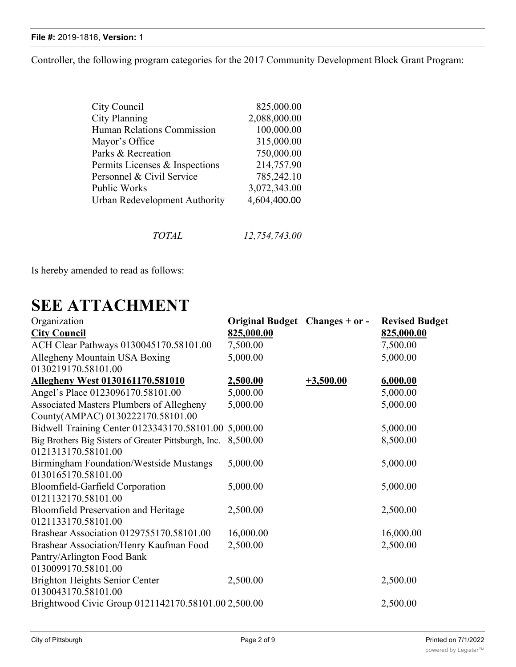Controller, the following program categories for the 2017 Community Development Block Grant Program:

| City Council                      | 825,000.00   |
|-----------------------------------|--------------|
| City Planning                     | 2,088,000.00 |
| <b>Human Relations Commission</b> | 100,000.00   |
| Mayor's Office                    | 315,000.00   |
| Parks & Recreation                | 750,000.00   |
| Permits Licenses & Inspections    | 214,757.90   |
| Personnel & Civil Service         | 785,242.10   |
| Public Works                      | 3,072,343.00 |
| Urban Redevelopment Authority     | 4,604,400.00 |
|                                   |              |

*TOTAL 12,754,743.00*

Is hereby amended to read as follows:

# **SEE ATTACHMENT**

| <b>City Council</b><br>825,000.00<br>825,000.00<br>7,500.00<br>ACH Clear Pathways 0130045170.58101.00<br>7,500.00<br>Allegheny Mountain USA Boxing<br>5,000.00<br>5,000.00 |  |
|----------------------------------------------------------------------------------------------------------------------------------------------------------------------------|--|
|                                                                                                                                                                            |  |
|                                                                                                                                                                            |  |
|                                                                                                                                                                            |  |
| 0130219170.58101.00                                                                                                                                                        |  |
| <u>Allegheny West 0130161170.581010</u><br>$+3,500.00$<br>6,000.00<br>2,500.00                                                                                             |  |
| Angel's Place 0123096170.58101.00<br>5,000.00<br>5,000.00                                                                                                                  |  |
| Associated Masters Plumbers of Allegheny<br>5,000.00<br>5,000.00                                                                                                           |  |
| County(AMPAC) 0130222170.58101.00                                                                                                                                          |  |
| Bidwell Training Center 0123343170.58101.00<br>5,000.00<br>5,000.00                                                                                                        |  |
| Big Brothers Big Sisters of Greater Pittsburgh, Inc.<br>8,500.00<br>8,500.00                                                                                               |  |
| 0121313170.58101.00                                                                                                                                                        |  |
| Birmingham Foundation/Westside Mustangs<br>5,000.00<br>5,000.00                                                                                                            |  |
| 0130165170.58101.00                                                                                                                                                        |  |
| Bloomfield-Garfield Corporation<br>5,000.00<br>5,000.00                                                                                                                    |  |
| 0121132170.58101.00                                                                                                                                                        |  |
| <b>Bloomfield Preservation and Heritage</b><br>2,500.00<br>2,500.00                                                                                                        |  |
| 0121133170.58101.00                                                                                                                                                        |  |
| Brashear Association 0129755170.58101.00<br>16,000.00<br>16,000.00                                                                                                         |  |
| Brashear Association/Henry Kaufman Food<br>2,500.00<br>2,500.00                                                                                                            |  |
| Pantry/Arlington Food Bank                                                                                                                                                 |  |
| 0130099170.58101.00                                                                                                                                                        |  |
| <b>Brighton Heights Senior Center</b><br>2,500.00<br>2,500.00                                                                                                              |  |
| 0130043170.58101.00                                                                                                                                                        |  |
| Brightwood Civic Group 0121142170.58101.00 2,500.00<br>2,500.00                                                                                                            |  |

0131301<u>10131301</u>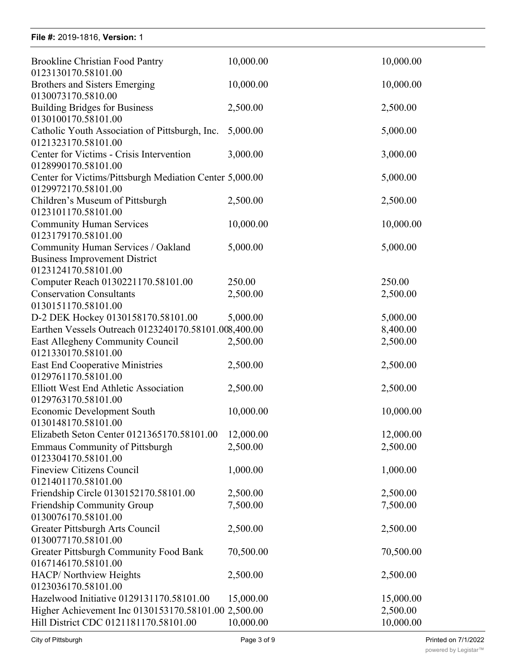Brighton Heights Senior Center

| <b>Brookline Christian Food Pantry</b>                                                            | 10,000.00  | 10,000.00  |
|---------------------------------------------------------------------------------------------------|------------|------------|
| 0123130170.58101.00<br>Brothers and Sisters Emerging                                              | 10,000.00  | 10,000.00  |
| 0130073170.5810.00<br><b>Building Bridges for Business</b>                                        | 2,500.00   | 2,500.00   |
| 0130100170.58101.00<br>Catholic Youth Association of Pittsburgh, Inc.                             | 5,000.00   | 5,000.00   |
| 0121323170.58101.00<br>Center for Victims - Crisis Intervention                                   | 3,000.00   | 3,000.00   |
| 0128990170.58101.00<br>Center for Victims/Pittsburgh Mediation Center 5,000.00                    |            | 5,000.00   |
| 0129972170.58101.00<br>Children's Museum of Pittsburgh<br>0123101170.58101.00                     | 2,500.00   | 2,500.00   |
| <b>Community Human Services</b><br>0123179170.58101.00                                            | 10,000.00  | 10,000.00  |
| Community Human Services / Oakland<br><b>Business Improvement District</b><br>0123124170.58101.00 | 5,000.00   | 5,000.00   |
| Computer Reach 0130221170.58101.00                                                                | 250.00     | 250.00     |
| <b>Conservation Consultants</b>                                                                   | 2,500.00   | 2,500.00   |
| 0130151170.58101.00                                                                               |            |            |
| D-2 DEK Hockey 0130158170.58101.00                                                                | 5,000.00   | 5,000.00   |
| Earthen Vessels Outreach 0123240170.58101.008,400.00                                              |            | 8,400.00   |
| East Allegheny Community Council<br>0121330170.58101.00                                           | 2,500.00   | 2,500.00   |
| <b>East End Cooperative Ministries</b><br>0129761170.58101.00                                     | 2,500.00   | 2,500.00   |
| Elliott West End Athletic Association<br>0129763170.58101.00                                      | 2,500.00   | 2,500.00   |
| <b>Economic Development South</b><br>0130148170.58101.00                                          | 10,000.00  | 10,000.00  |
| Elizabeth Seton Center 0121365170.58101.00                                                        | 12,000.00  | 12,000.00  |
| <b>Emmaus Community of Pittsburgh</b><br>0123304170.58101.00                                      | 2,500.00   | 2,500.00   |
| <b>Fineview Citizens Council</b><br>0121401170.58101.00                                           | 1,000.00   | 1,000.00   |
| Friendship Circle 0130152170.58101.00                                                             | 2,500.00   | 2,500.00   |
| Friendship Community Group<br>0130076170.58101.00                                                 | 7,500.00   | 7,500.00   |
| Greater Pittsburgh Arts Council<br>0130077170.58101.00                                            | 2,500.00   | 2,500.00   |
| Greater Pittsburgh Community Food Bank<br>0167146170.58101.00                                     | 70,500.00  | 70,500.00  |
| HACP/ Northview Heights<br>0123036170.58101.00                                                    | 2,500.00   | 2,500.00   |
| Hazelwood Initiative 0129131170.58101.00                                                          | 15,000.00  | 15,000.00  |
| Higher Achievement Inc 0130153170.58101.00 2,500.00                                               |            | 2,500.00   |
| Hill District CDC 0121181170.58101.00                                                             | 10,000.00  | 10,000.00  |
| $Cth$ , of Dittobural                                                                             | Dao 2 of 0 | Drintod on |

2,500.00 2,500.00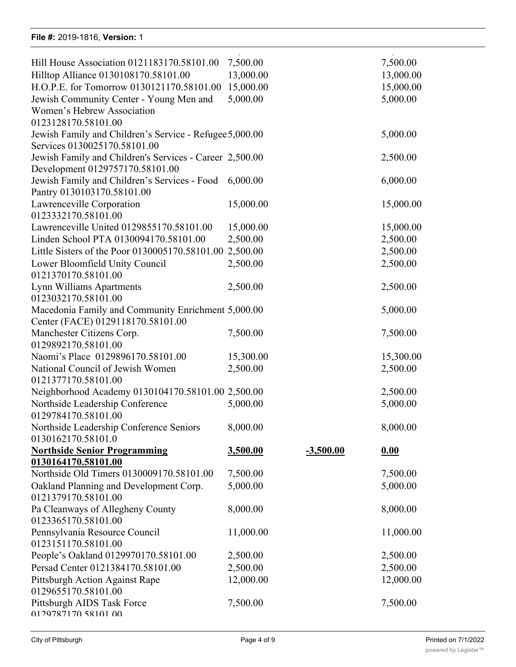| Hill House Association 0121183170.58101.00              | 7,500.00  |             | 7,500.00  |
|---------------------------------------------------------|-----------|-------------|-----------|
| Hilltop Alliance 0130108170.58101.00                    | 13,000.00 |             | 13,000.00 |
| H.O.P.E. for Tomorrow 0130121170.58101.00               | 15,000.00 |             | 15,000.00 |
| Jewish Community Center - Young Men and                 | 5,000.00  |             | 5,000.00  |
| Women's Hebrew Association                              |           |             |           |
| 0123128170.58101.00                                     |           |             |           |
| Jewish Family and Children's Service - Refugee 5,000.00 |           |             | 5,000.00  |
| Services 0130025170.58101.00                            |           |             |           |
| Jewish Family and Children's Services - Career 2,500.00 |           |             | 2,500.00  |
| Development 0129757170.58101.00                         |           |             |           |
| Jewish Family and Children's Services - Food 6,000.00   |           |             | 6,000.00  |
| Pantry 0130103170.58101.00                              |           |             |           |
| Lawrenceville Corporation                               | 15,000.00 |             | 15,000.00 |
| 0123332170.58101.00                                     |           |             |           |
| Lawrenceville United 0129855170.58101.00                | 15,000.00 |             | 15,000.00 |
| Linden School PTA 0130094170.58101.00                   | 2,500.00  |             | 2,500.00  |
| Little Sisters of the Poor 0130005170.58101.00 2,500.00 |           |             | 2,500.00  |
| Lower Bloomfield Unity Council                          | 2,500.00  |             | 2,500.00  |
| 0121370170.58101.00                                     |           |             |           |
| Lynn Williams Apartments                                | 2,500.00  |             | 2,500.00  |
| 0123032170.58101.00                                     |           |             |           |
| Macedonia Family and Community Enrichment 5,000.00      |           |             | 5,000.00  |
| Center (FACE) 0129118170.58101.00                       |           |             |           |
| Manchester Citizens Corp.                               | 7,500.00  |             | 7,500.00  |
| 0129892170.58101.00                                     |           |             |           |
| Naomi's Place 0129896170.58101.00                       | 15,300.00 |             | 15,300.00 |
| National Council of Jewish Women                        | 2,500.00  |             | 2,500.00  |
| 0121377170.58101.00                                     |           |             |           |
| Neighborhood Academy 0130104170.58101.00 2,500.00       |           |             | 2,500.00  |
| Northside Leadership Conference                         | 5,000.00  |             | 5,000.00  |
| 0129784170.58101.00                                     |           |             |           |
| Northside Leadership Conference Seniors                 | 8,000.00  |             | 8,000.00  |
| 0130162170.58101.0                                      |           |             |           |
| <b>Northside Senior Programming</b>                     | 3,500.00  | $-3,500.00$ | 0.00      |
| 0130164170.58101.00                                     |           |             |           |
| Northside Old Timers 0130009170.58101.00                | 7,500.00  |             | 7,500.00  |
| Oakland Planning and Development Corp.                  | 5,000.00  |             | 5,000.00  |
| 0121379170.58101.00                                     |           |             |           |
| Pa Cleanways of Allegheny County                        | 8,000.00  |             | 8,000.00  |
| 0123365170.58101.00                                     |           |             |           |
| Pennsylvania Resource Council                           | 11,000.00 |             | 11,000.00 |
| 0123151170.58101.00                                     |           |             |           |
| People's Oakland 0129970170.58101.00                    | 2,500.00  |             | 2,500.00  |
| Persad Center 0121384170.58101.00                       | 2,500.00  |             | 2,500.00  |
| Pittsburgh Action Against Rape                          | 12,000.00 |             | 12,000.00 |
| 0129655170.58101.00                                     |           |             |           |
| Pittsburgh AIDS Task Force<br>0129787170 58101 00       | 7,500.00  |             | 7,500.00  |
|                                                         |           |             |           |

Hazelwood Initiative 0129131170.58101.00 15,000.00 15,000.00

Pittsburgh Community Services - Hunger

64,000.00 64,000.00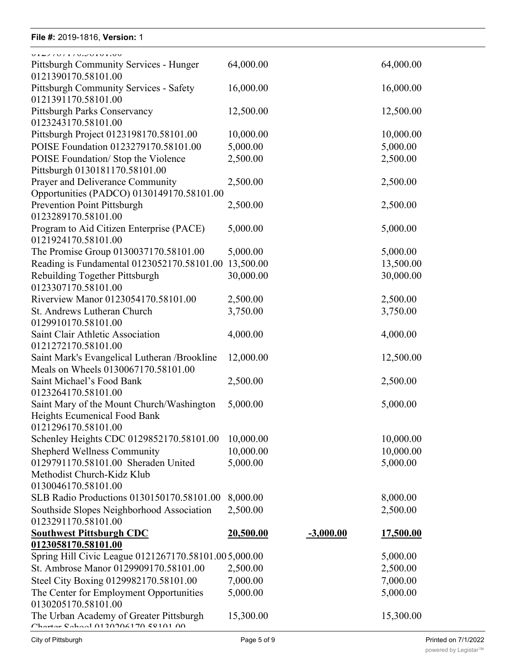#### **File #:** 2019-1816, **Version:** 1 0129655170.58101.00 File #: 2019-1816, Version: 1

| V14710111V1501V11V0                                                       |                       |             |                       |
|---------------------------------------------------------------------------|-----------------------|-------------|-----------------------|
| Pittsburgh Community Services - Hunger<br>0121390170.58101.00             | 64,000.00             |             | 64,000.00             |
| <b>Pittsburgh Community Services - Safety</b><br>0121391170.58101.00      | 16,000.00             |             | 16,000.00             |
| Pittsburgh Parks Conservancy<br>0123243170.58101.00                       | 12,500.00             |             | 12,500.00             |
| Pittsburgh Project 0123198170.58101.00                                    | 10,000.00             |             | 10,000.00             |
| POISE Foundation 0123279170.58101.00                                      | 5,000.00              |             | 5,000.00              |
| POISE Foundation/ Stop the Violence                                       | 2,500.00              |             | 2,500.00              |
| Pittsburgh 0130181170.58101.00                                            |                       |             |                       |
| Prayer and Deliverance Community                                          | 2,500.00              |             | 2,500.00              |
| Opportunities (PADCO) 0130149170.58101.00                                 |                       |             |                       |
| Prevention Point Pittsburgh                                               | 2,500.00              |             | 2,500.00              |
| 0123289170.58101.00                                                       |                       |             |                       |
| Program to Aid Citizen Enterprise (PACE)<br>0121924170.58101.00           | 5,000.00              |             | 5,000.00              |
| The Promise Group 0130037170.58101.00                                     | 5,000.00              |             | 5,000.00              |
| Reading is Fundamental 0123052170.58101.00                                | 13,500.00             |             | 13,500.00             |
| Rebuilding Together Pittsburgh                                            | 30,000.00             |             | 30,000.00             |
| 0123307170.58101.00                                                       |                       |             |                       |
| Riverview Manor 0123054170.58101.00                                       | 2,500.00              |             | 2,500.00              |
| St. Andrews Lutheran Church                                               | 3,750.00              |             | 3,750.00              |
| 0129910170.58101.00                                                       |                       |             |                       |
| Saint Clair Athletic Association                                          | 4,000.00              |             | 4,000.00              |
| 0121272170.58101.00                                                       |                       |             |                       |
| Saint Mark's Evangelical Lutheran / Brookline                             | 12,000.00             |             | 12,500.00             |
| Meals on Wheels 0130067170.58101.00                                       |                       |             |                       |
| Saint Michael's Food Bank                                                 | 2,500.00              |             | 2,500.00              |
| 0123264170.58101.00                                                       |                       |             |                       |
| Saint Mary of the Mount Church/Washington                                 | 5,000.00              |             | 5,000.00              |
| Heights Ecumenical Food Bank                                              |                       |             |                       |
| 0121296170.58101.00                                                       |                       |             |                       |
| Schenley Heights CDC 0129852170.58101.00                                  | 10,000.00             |             | 10,000.00             |
| <b>Shepherd Wellness Community</b><br>0129791170.58101.00 Sheraden United | 10,000.00<br>5,000.00 |             | 10,000.00<br>5,000.00 |
| Methodist Church-Kidz Klub                                                |                       |             |                       |
| 0130046170.58101.00                                                       |                       |             |                       |
| SLB Radio Productions 0130150170.58101.00                                 | 8,000.00              |             | 8,000.00              |
| Southside Slopes Neighborhood Association                                 | 2,500.00              |             | 2,500.00              |
| 0123291170.58101.00                                                       |                       |             |                       |
| <b>Southwest Pittsburgh CDC</b>                                           | <u>20,500.00</u>      | $-3,000.00$ | <u>17,500.00</u>      |
| 0123058170.58101.00                                                       |                       |             |                       |
| Spring Hill Civic League 0121267170.58101.005,000.00                      |                       |             | 5,000.00              |
| St. Ambrose Manor 0129909170.58101.00                                     | 2,500.00              |             | 2,500.00              |
| Steel City Boxing 0129982170.58101.00                                     | 7,000.00              |             | 7,000.00              |
| The Center for Employment Opportunities                                   | 5,000.00              |             | 5,000.00              |
| 0130205170.58101.00                                                       |                       |             |                       |
| The Urban Academy of Greater Pittsburgh                                   | 15,300.00             |             | 15,300.00             |
| Charton Cahool 0120206170 50101 00                                        |                       |             |                       |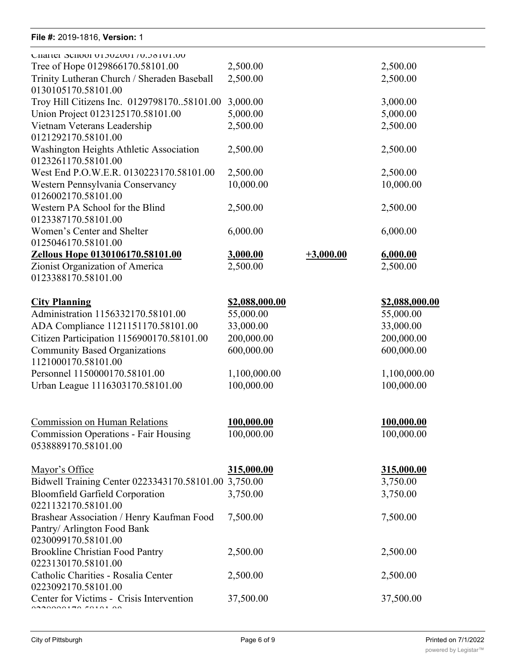| $1 \, \text{H}$ G $\pi$ . Zvij-Iviv, vgladiji. I                                                           |                          |             |                          |
|------------------------------------------------------------------------------------------------------------|--------------------------|-------------|--------------------------|
| CHATter SCHOOL 01302001 / 0.36101.00                                                                       |                          |             |                          |
| Tree of Hope 0129866170.58101.00                                                                           | 2,500.00                 |             | 2,500.00                 |
| Trinity Lutheran Church / Sheraden Baseball<br>0130105170.58101.00                                         | 2,500.00                 |             | 2,500.00                 |
| Troy Hill Citizens Inc. 012979817058101.00                                                                 | 3,000.00                 |             | 3,000.00                 |
| Union Project 0123125170.58101.00                                                                          | 5,000.00                 |             | 5,000.00                 |
| Vietnam Veterans Leadership<br>0121292170.58101.00                                                         | 2,500.00                 |             | 2,500.00                 |
| Washington Heights Athletic Association<br>0123261170.58101.00                                             | 2,500.00                 |             | 2,500.00                 |
| West End P.O.W.E.R. 0130223170.58101.00                                                                    | 2,500.00                 |             | 2,500.00                 |
| Western Pennsylvania Conservancy<br>0126002170.58101.00                                                    | 10,000.00                |             | 10,000.00                |
| Western PA School for the Blind<br>0123387170.58101.00                                                     | 2,500.00                 |             | 2,500.00                 |
| Women's Center and Shelter<br>0125046170.58101.00                                                          | 6,000.00                 |             | 6,000.00                 |
| Zellous Hope 0130106170.58101.00                                                                           | 3,000.00                 | $+3,000.00$ | 6,000.00                 |
| Zionist Organization of America                                                                            | 2,500.00                 |             | 2,500.00                 |
| 0123388170.58101.00                                                                                        |                          |             |                          |
| <b>City Planning</b>                                                                                       | <u>\$2,088,000.00</u>    |             | <u>\$2,088,000.00</u>    |
| Administration 1156332170.58101.00                                                                         | 55,000.00                |             | 55,000.00                |
| ADA Compliance 1121151170.58101.00                                                                         | 33,000.00                |             | 33,000.00                |
| Citizen Participation 1156900170.58101.00                                                                  | 200,000.00               |             | 200,000.00               |
| <b>Community Based Organizations</b><br>1121000170.58101.00                                                | 600,000.00               |             | 600,000.00               |
| Personnel 1150000170.58101.00                                                                              | 1,100,000.00             |             | 1,100,000.00             |
| Urban League 1116303170.58101.00                                                                           | 100,000.00               |             | 100,000.00               |
| <b>Commission on Human Relations</b><br><b>Commission Operations - Fair Housing</b><br>0538889170.58101.00 | 100,000.00<br>100,000.00 |             | 100,000.00<br>100,000.00 |
| Mayor's Office                                                                                             | 315,000.00               |             | 315,000.00               |
| Bidwell Training Center 0223343170.58101.00 3,750.00                                                       |                          |             | 3,750.00                 |
| <b>Bloomfield Garfield Corporation</b><br>0221132170.58101.00                                              | 3,750.00                 |             | 3,750.00                 |
| Brashear Association / Henry Kaufman Food<br>Pantry/ Arlington Food Bank<br>0230099170.58101.00            | 7,500.00                 |             | 7,500.00                 |
| <b>Brookline Christian Food Pantry</b><br>0223130170.58101.00                                              | 2,500.00                 |             | 2,500.00                 |
| Catholic Charities - Rosalia Center<br>0223092170.58101.00                                                 | 2,500.00                 |             | 2,500.00                 |
| Center for Victims - Crisis Intervention                                                                   | 37,500.00                |             | 37,500.00                |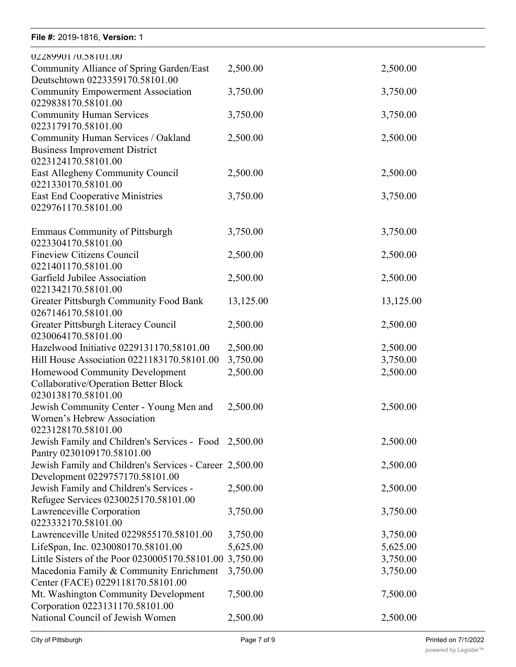| 0228990170.58101.00                                                                                  |           |           |
|------------------------------------------------------------------------------------------------------|-----------|-----------|
| Community Alliance of Spring Garden/East<br>Deutschtown 0223359170.58101.00                          | 2,500.00  | 2,500.00  |
| <b>Community Empowerment Association</b><br>0229838170.58101.00                                      | 3,750.00  | 3,750.00  |
| <b>Community Human Services</b><br>0223179170.58101.00                                               | 3,750.00  | 3,750.00  |
| Community Human Services / Oakland<br><b>Business Improvement District</b><br>0223124170.58101.00    | 2,500.00  | 2,500.00  |
| East Allegheny Community Council<br>0221330170.58101.00                                              | 2,500.00  | 2,500.00  |
| <b>East End Cooperative Ministries</b><br>0229761170.58101.00                                        | 3,750.00  | 3,750.00  |
| <b>Emmaus Community of Pittsburgh</b><br>0223304170.58101.00                                         | 3,750.00  | 3,750.00  |
| <b>Fineview Citizens Council</b><br>0221401170.58101.00                                              | 2,500.00  | 2,500.00  |
| Garfield Jubilee Association<br>0221342170.58101.00                                                  | 2,500.00  | 2,500.00  |
| Greater Pittsburgh Community Food Bank<br>0267146170.58101.00                                        | 13,125.00 | 13,125.00 |
| Greater Pittsburgh Literacy Council<br>0230064170.58101.00                                           | 2,500.00  | 2,500.00  |
| Hazelwood Initiative 0229131170.58101.00                                                             | 2,500.00  | 2,500.00  |
| Hill House Association 0221183170.58101.00                                                           | 3,750.00  | 3,750.00  |
| Homewood Community Development<br><b>Collaborative/Operation Better Block</b><br>0230138170.58101.00 | 2,500.00  | 2,500.00  |
| Jewish Community Center - Young Men and<br>Women's Hebrew Association<br>0223128170.58101.00         | 2,500.00  | 2,500.00  |
| Jewish Family and Children's Services - Food 2,500.00<br>Pantry 0230109170.58101.00                  |           | 2,500.00  |
| Jewish Family and Children's Services - Career 2,500.00<br>Development 0229757170.58101.00           |           | 2,500.00  |
| Jewish Family and Children's Services -<br>Refugee Services 0230025170.58101.00                      | 2,500.00  | 2,500.00  |
| Lawrenceville Corporation<br>0223332170.58101.00                                                     | 3,750.00  | 3,750.00  |
| Lawrenceville United 0229855170.58101.00                                                             | 3,750.00  | 3,750.00  |
| LifeSpan, Inc. 0230080170.58101.00                                                                   | 5,625.00  | 5,625.00  |
| Little Sisters of the Poor 0230005170.58101.00 3,750.00                                              |           | 3,750.00  |
| Macedonia Family & Community Enrichment<br>Center (FACE) 0229118170.58101.00                         | 3,750.00  | 3,750.00  |
| Mt. Washington Community Development<br>Corporation 0223131170.58101.00                              | 7,500.00  | 7,500.00  |
| National Council of Jewish Women                                                                     | 2,500.00  | 2,500.00  |
|                                                                                                      |           |           |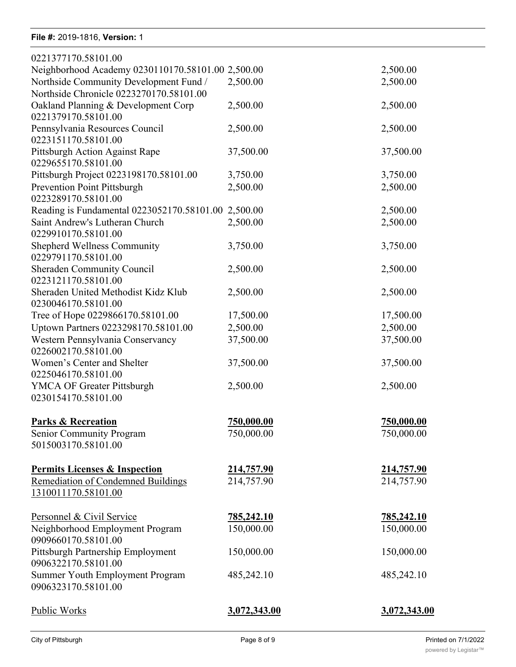Mt. Washington Community Development

| 0221377170.58101.00                                 |                   |                   |
|-----------------------------------------------------|-------------------|-------------------|
| Neighborhood Academy 0230110170.58101.00 2,500.00   |                   | 2,500.00          |
| Northside Community Development Fund /              | 2,500.00          | 2,500.00          |
| Northside Chronicle 0223270170.58101.00             |                   |                   |
| Oakland Planning & Development Corp                 | 2,500.00          | 2,500.00          |
| 0221379170.58101.00                                 |                   |                   |
| Pennsylvania Resources Council                      | 2,500.00          | 2,500.00          |
| 0223151170.58101.00                                 |                   |                   |
| Pittsburgh Action Against Rape                      | 37,500.00         | 37,500.00         |
| 0229655170.58101.00                                 |                   |                   |
| Pittsburgh Project 0223198170.58101.00              | 3,750.00          | 3,750.00          |
| Prevention Point Pittsburgh                         | 2,500.00          | 2,500.00          |
| 0223289170.58101.00                                 |                   |                   |
| Reading is Fundamental 0223052170.58101.00 2,500.00 |                   | 2,500.00          |
| Saint Andrew's Lutheran Church                      | 2,500.00          | 2,500.00          |
| 0229910170.58101.00                                 |                   |                   |
| <b>Shepherd Wellness Community</b>                  | 3,750.00          | 3,750.00          |
| 0229791170.58101.00                                 |                   |                   |
| <b>Sheraden Community Council</b>                   | 2,500.00          | 2,500.00          |
| 0223121170.58101.00                                 |                   |                   |
| Sheraden United Methodist Kidz Klub                 | 2,500.00          | 2,500.00          |
| 0230046170.58101.00                                 |                   |                   |
| Tree of Hope 0229866170.58101.00                    | 17,500.00         | 17,500.00         |
| Uptown Partners 0223298170.58101.00                 | 2,500.00          | 2,500.00          |
| Western Pennsylvania Conservancy                    | 37,500.00         | 37,500.00         |
| 0226002170.58101.00                                 |                   |                   |
| Women's Center and Shelter                          | 37,500.00         | 37,500.00         |
| 0225046170.58101.00                                 |                   |                   |
| <b>YMCA OF Greater Pittsburgh</b>                   | 2,500.00          | 2,500.00          |
| 0230154170.58101.00                                 |                   |                   |
| <b>Parks &amp; Recreation</b>                       | 750,000.00        | 750,000.00        |
| Senior Community Program                            | 750,000.00        | 750,000.00        |
| 5015003170.58101.00                                 |                   |                   |
|                                                     |                   |                   |
| <b>Permits Licenses &amp; Inspection</b>            | 214,757.90        | <u>214,757.90</u> |
| <b>Remediation of Condemned Buildings</b>           | 214,757.90        | 214,757.90        |
| 1310011170.58101.00                                 |                   |                   |
| Personnel & Civil Service                           | <u>785,242.10</u> | <u>785,242.10</u> |
| Neighborhood Employment Program                     | 150,000.00        | 150,000.00        |
| 0909660170.58101.00                                 |                   |                   |
| Pittsburgh Partnership Employment                   | 150,000.00        | 150,000.00        |
| 0906322170.58101.00                                 |                   |                   |
| Summer Youth Employment Program                     | 485,242.10        | 485,242.10        |
| 0906323170.58101.00                                 |                   |                   |
| Public Works                                        | 3,072,343.00      | 3,072,343.00      |
|                                                     |                   |                   |

7,500.00 7,500.00